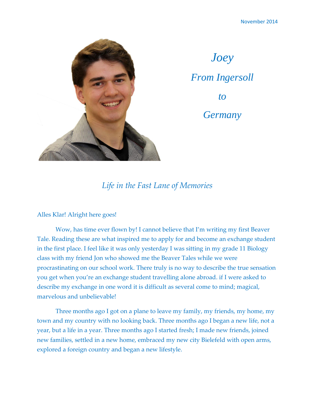

*Joey From Ingersoll to Germany*

## *Life in the Fast Lane of Memories*

## Alles Klar! Alright here goes!

Wow, has time ever flown by! I cannot believe that I'm writing my first Beaver Tale. Reading these are what inspired me to apply for and become an exchange student in the first place. I feel like it was only yesterday I was sitting in my grade 11 Biology class with my friend Jon who showed me the Beaver Tales while we were procrastinating on our school work. There truly is no way to describe the true sensation you get when you're an exchange student travelling alone abroad. if I were asked to describe my exchange in one word it is difficult as several come to mind; magical, marvelous and unbelievable!

Three months ago I got on a plane to leave my family, my friends, my home, my town and my country with no looking back. Three months ago I began a new life, not a year, but a life in a year. Three months ago I started fresh; I made new friends, joined new families, settled in a new home, embraced my new city Bielefeld with open arms, explored a foreign country and began a new lifestyle.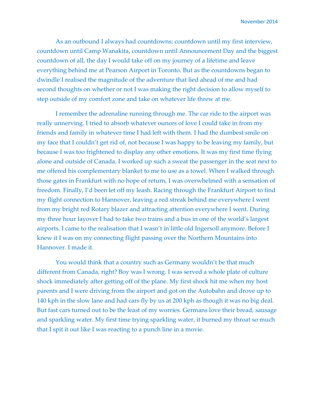As an outbound I always had countdowns; countdown until my first interview, countdown until Camp Wanakita, countdown until Announcement Day and the biggest countdown of all, the day I would take off on my journey of a lifetime and leave everything behind me at Pearson Airport in Toronto. But as the countdowns began to dwindle I realised the magnitude of the adventure that lied ahead of me and had second thoughts on whether or not I was making the right decision to allow myself to step outside of my comfort zone and take on whatever life threw at me.

I remember the adrenaline running through me. The car ride to the airport was really unnerving. I tried to absorb whatever ounces of love I could take in from my friends and family in whatever time I had left with them. I had the dumbest smile on my face that I couldn't get rid of, not because I was happy to be leaving my family, but because I was too frightened to display any other emotions. It was my first time flying alone and outside of Canada. I worked up such a sweat the passenger in the seat next to me offered his complementary blanket to me to use as a towel. When I walked through those gates in Frankfurt with no hope of return, I was overwhelmed with a sensation of freedom. Finally, I'd been let off my leash. Racing through the Frankfurt Airport to find my flight connection to Hannover, leaving a red streak behind me everywhere I went from my bright red Rotary blazer and attracting attention everywhere I went. During my three hour layover I had to take two trains and a bus in one of the world's largest airports. I came to the realisation that I wasn't in little old Ingersoll anymore. Before I knew it I was on my connecting flight passing over the Northern Mountains into Hannover. I made it.

You would think that a country such as Germany wouldn't be that much different from Canada, right? Boy was I wrong. I was served a whole plate of culture shock immediately after getting off of the plane. My first shock hit me when my host parents and I were driving from the airport and got on the Autobahn and drove up to 140 kph in the slow lane and had cars fly by us at 200 kph as though it was no big deal. But fast cars turned out to be the least of my worries. Germans love their bread, sausage and sparkling water. My first time trying sparkling water, it burned my throat so much that I spit it out like I was reacting to a punch line in a movie.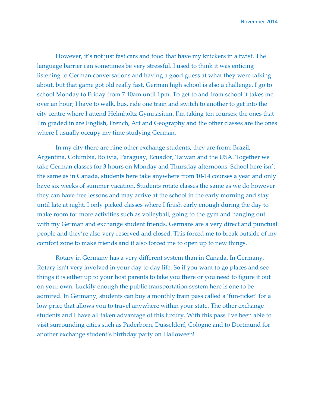November 2014

However, it's not just fast cars and food that have my knickers in a twist. The language barrier can sometimes be very stressful. I used to think it was enticing listening to German conversations and having a good guess at what they were talking about, but that game got old really fast. German high school is also a challenge. I go to school Monday to Friday from 7:40am until 1pm. To get to and from school it takes me over an hour; I have to walk, bus, ride one train and switch to another to get into the city centre where I attend Helmholtz Gymnasium. I'm taking ten courses; the ones that I'm graded in are English, French, Art and Geography and the other classes are the ones where I usually occupy my time studying German.

In my city there are nine other exchange students, they are from: Brazil, Argentina, Columbia, Bolivia, Paraguay, Ecuador, Taiwan and the USA. Together we take German classes for 3 hours on Monday and Thursday afternoons. School here isn't the same as in Canada, students here take anywhere from 10-14 courses a year and only have six weeks of summer vacation. Students rotate classes the same as we do however they can have free lessons and may arrive at the school in the early morning and stay until late at night. I only picked classes where I finish early enough during the day to make room for more activities such as volleyball, going to the gym and hanging out with my German and exchange student friends. Germans are a very direct and punctual people and they're also very reserved and closed. This forced me to break outside of my comfort zone to make friends and it also forced me to open up to new things.

Rotary in Germany has a very different system than in Canada. In Germany, Rotary isn't very involved in your day to day life. So if you want to go places and see things it is either up to your host parents to take you there or you need to figure it out on your own. Luckily enough the public transportation system here is one to be admired. In Germany, students can buy a monthly train pass called a 'fun-ticket' for a low price that allows you to travel anywhere within your state. The other exchange students and I have all taken advantage of this luxury. With this pass I've been able to visit surrounding cities such as Paderborn, Dusseldorf, Cologne and to Dortmund for another exchange student's birthday party on Halloween!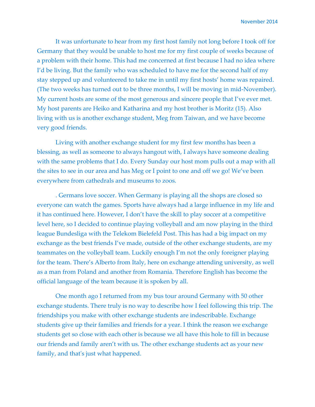It was unfortunate to hear from my first host family not long before I took off for Germany that they would be unable to host me for my first couple of weeks because of a problem with their home. This had me concerned at first because I had no idea where I'd be living. But the family who was scheduled to have me for the second half of my stay stepped up and volunteered to take me in until my first hosts' home was repaired. (The two weeks has turned out to be three months, I will be moving in mid-November). My current hosts are some of the most generous and sincere people that I've ever met. My host parents are Heiko and Katharina and my host brother is Moritz (15). Also living with us is another exchange student, Meg from Taiwan, and we have become very good friends.

Living with another exchange student for my first few months has been a blessing, as well as someone to always hangout with, I always have someone dealing with the same problems that I do. Every Sunday our host mom pulls out a map with all the sites to see in our area and has Meg or I point to one and off we go! We've been everywhere from cathedrals and museums to zoos.

. Germans love soccer. When Germany is playing all the shops are closed so everyone can watch the games. Sports have always had a large influence in my life and it has continued here. However, I don't have the skill to play soccer at a competitive level here, so I decided to continue playing volleyball and am now playing in the third league Bundesliga with the Telekom Bielefeld Post. This has had a big impact on my exchange as the best friends I've made, outside of the other exchange students, are my teammates on the volleyball team. Luckily enough I'm not the only foreigner playing for the team. There's Alberto from Italy, here on exchange attending university, as well as a man from Poland and another from Romania. Therefore English has become the official language of the team because it is spoken by all.

One month ago I returned from my bus tour around Germany with 50 other exchange students. There truly is no way to describe how I feel following this trip. The friendships you make with other exchange students are indescribable. Exchange students give up their families and friends for a year. I think the reason we exchange students get so close with each other is because we all have this hole to fill in because our friends and family aren't with us. The other exchange students act as your new family, and that's just what happened.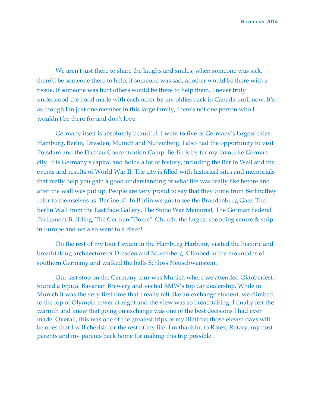We aren't just there to share the laughs and smiles; when someone was sick, there'd be someone there to help, if someone was sad, another would be there with a tissue. If someone was hurt others would be there to help them. I never truly understood the bond made with each other by my oldies back in Canada until now. It's as though I'm just one member in this large family, there's not one person who I wouldn't be there for and don't love.

Germany itself is absolutely beautiful. I went to five of Germany's largest cities; Hamburg, Berlin, Dresden, Munich and Nuremberg. I also had the opportunity to visit Potsdam and the Dachau Concentration Camp. Berlin is by far my favourite German city. It is Germany's capital and holds a lot of history, including the Berlin Wall and the events and results of World War II. The city is filled with historical sites and memorials that really help you gain a good understanding of what life was really like before and after the wall was put up. People are very proud to say that they come from Berlin; they refer to themselves as "Berliners". In Berlin we got to see the Brandenburg Gate, The Berlin Wall from the East Side Gallery, The Stone War Memorial, The German Federal Parliament Building, The German "Dome" Church, the largest shopping centre & strip in Europe and we also went to a disco!

On the rest of my tour I swam in the Hamburg Harbour, visited the historic and breathtaking architecture of Dresden and Nuremberg. Climbed in the mountains of southern Germany and walked the halls Schloss Neuschwanstein.

Our last stop on the Germany tour was Munich where we attended Oktoberfest, toured a typical Bavarian Brewery and visited BMW's top car dealership. While in Munich it was the very first time that I really felt like an exchange student, we climbed to the top of Olympia tower at night and the view was so breathtaking. I finally felt the warmth and knew that going on exchange was one of the best decisions I had ever made. Overall, this was one of the greatest trips of my lifetime; those eleven days will be ones that I will cherish for the rest of my life. I'm thankful to Rotex, Rotary, my host parents and my parents back home for making this trip possible.